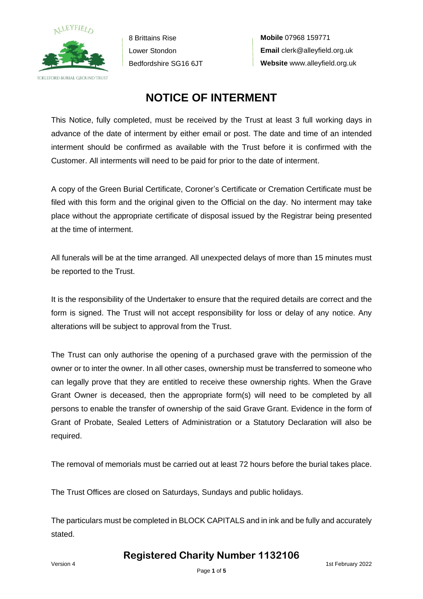

**Mobile** 07968 159771 **Email** clerk@alleyfield.org.uk **Website** www.alleyfield.org.uk

## **NOTICE OF INTERMENT**

This Notice, fully completed, must be received by the Trust at least 3 full working days in advance of the date of interment by either email or post. The date and time of an intended interment should be confirmed as available with the Trust before it is confirmed with the Customer. All interments will need to be paid for prior to the date of interment.

A copy of the Green Burial Certificate, Coroner's Certificate or Cremation Certificate must be filed with this form and the original given to the Official on the day. No interment may take place without the appropriate certificate of disposal issued by the Registrar being presented at the time of interment.

All funerals will be at the time arranged. All unexpected delays of more than 15 minutes must be reported to the Trust.

It is the responsibility of the Undertaker to ensure that the required details are correct and the form is signed. The Trust will not accept responsibility for loss or delay of any notice. Any alterations will be subject to approval from the Trust.

The Trust can only authorise the opening of a purchased grave with the permission of the owner or to inter the owner. In all other cases, ownership must be transferred to someone who can legally prove that they are entitled to receive these ownership rights. When the Grave Grant Owner is deceased, then the appropriate form(s) will need to be completed by all persons to enable the transfer of ownership of the said Grave Grant. Evidence in the form of Grant of Probate, Sealed Letters of Administration or a Statutory Declaration will also be required.

The removal of memorials must be carried out at least 72 hours before the burial takes place.

The Trust Offices are closed on Saturdays, Sundays and public holidays.

The particulars must be completed in BLOCK CAPITALS and in ink and be fully and accurately stated.

**Registered Charity Number 1132106**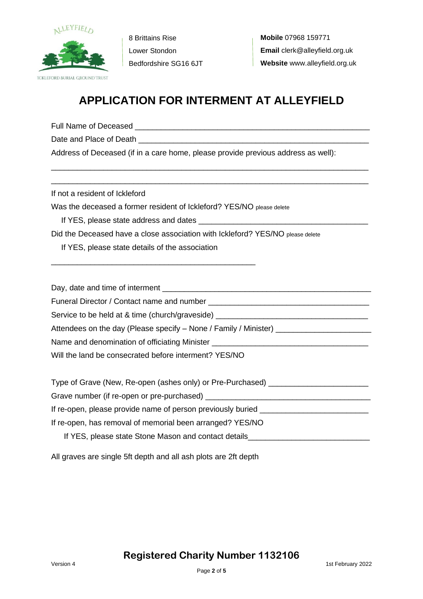

# **APPLICATION FOR INTERMENT AT ALLEYFIELD**

\_\_\_\_\_\_\_\_\_\_\_\_\_\_\_\_\_\_\_\_\_\_\_\_\_\_\_\_\_\_\_\_\_\_\_\_\_\_\_\_\_\_\_\_\_\_\_\_\_\_\_\_\_\_\_\_\_\_\_\_\_\_\_\_\_\_\_\_\_\_\_\_\_ \_\_\_\_\_\_\_\_\_\_\_\_\_\_\_\_\_\_\_\_\_\_\_\_\_\_\_\_\_\_\_\_\_\_\_\_\_\_\_\_\_\_\_\_\_\_\_\_\_\_\_\_\_\_\_\_\_\_\_\_\_\_\_\_\_\_\_\_\_\_\_\_\_

Full Name of Deceased **Example 20** Full Name of Deceased

Date and Place of Death

Address of Deceased (if in a care home, please provide previous address as well):

If not a resident of Ickleford

Was the deceased a former resident of Ickleford? YES/NO please delete

If YES, please state address and dates

Did the Deceased have a close association with Ickleford? YES/NO please delete

If YES, please state details of the association

\_\_\_\_\_\_\_\_\_\_\_\_\_\_\_\_\_\_\_\_\_\_\_\_\_\_\_\_\_\_\_\_\_\_\_\_\_\_\_\_\_\_\_\_\_\_\_

Day, date and time of interment \_\_\_\_\_\_\_\_\_\_\_\_\_\_\_\_\_\_\_\_\_\_\_\_\_\_\_\_\_\_\_\_\_\_\_\_\_\_\_\_\_\_\_\_\_\_\_\_

Funeral Director / Contact name and number

Service to be held at & time (church/graveside) \_\_\_\_\_\_\_\_\_\_\_\_\_\_\_\_\_\_\_\_\_\_\_\_\_\_\_\_\_\_\_\_

Attendees on the day (Please specify – None / Family / Minister) \_\_\_\_\_\_\_\_\_\_\_\_\_\_\_

Name and denomination of officiating Minister

Will the land be consecrated before interment? YES/NO

Type of Grave (New, Re-open (ashes only) or Pre-Purchased) \_\_\_\_\_\_\_\_\_\_\_\_\_\_\_\_\_\_\_\_\_

Grave number (if re-open or pre-purchased)

If re-open, please provide name of person previously buried

If re-open, has removal of memorial been arranged? YES/NO

If YES, please state Stone Mason and contact details

All graves are single 5ft depth and all ash plots are 2ft depth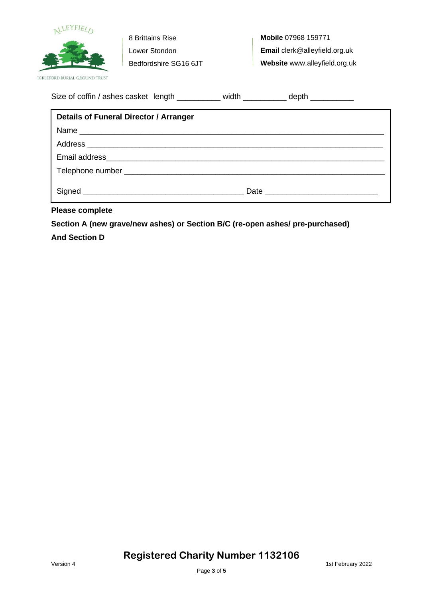

**Mobile** 07968 159771 **Email** clerk@alleyfield.org.uk **Website** www.alleyfield.org.uk

| Size of coffin / ashes casket length |  | width | depth |
|--------------------------------------|--|-------|-------|
|--------------------------------------|--|-------|-------|

| Details of Funeral Director / Arranger |  |  |
|----------------------------------------|--|--|
|                                        |  |  |
|                                        |  |  |
|                                        |  |  |
|                                        |  |  |
|                                        |  |  |

**Please complete** 

**Section A (new grave/new ashes) or Section B/C (re-open ashes/ pre-purchased)**

### **And Section D**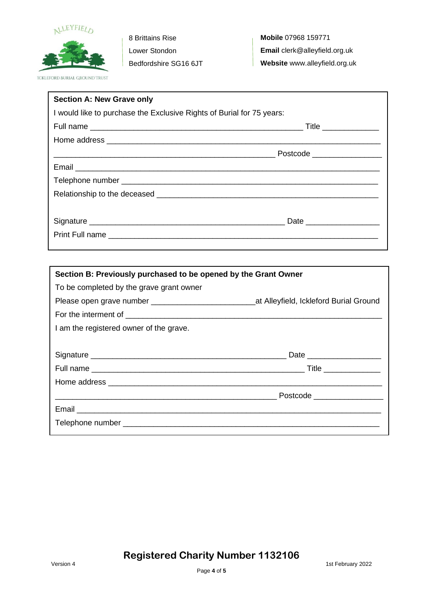

**Mobile** 07968 159771 **Email** clerk@alleyfield.org.uk **Website** www.alleyfield.org.uk

| <b>Section A: New Grave only</b>                                      |                           |
|-----------------------------------------------------------------------|---------------------------|
| I would like to purchase the Exclusive Rights of Burial for 75 years: |                           |
|                                                                       |                           |
|                                                                       |                           |
|                                                                       |                           |
|                                                                       |                           |
|                                                                       |                           |
|                                                                       |                           |
|                                                                       |                           |
|                                                                       | Date ____________________ |
|                                                                       |                           |
|                                                                       |                           |

| Section B: Previously purchased to be opened by the Grant Owner                                   |  |  |
|---------------------------------------------------------------------------------------------------|--|--|
| To be completed by the grave grant owner                                                          |  |  |
| Please open grave number __________________________________at Alleyfield, Ickleford Burial Ground |  |  |
|                                                                                                   |  |  |
| I am the registered owner of the grave.                                                           |  |  |
|                                                                                                   |  |  |
|                                                                                                   |  |  |
|                                                                                                   |  |  |
|                                                                                                   |  |  |
|                                                                                                   |  |  |
|                                                                                                   |  |  |
|                                                                                                   |  |  |

### **Registered Charity Number 1132106**